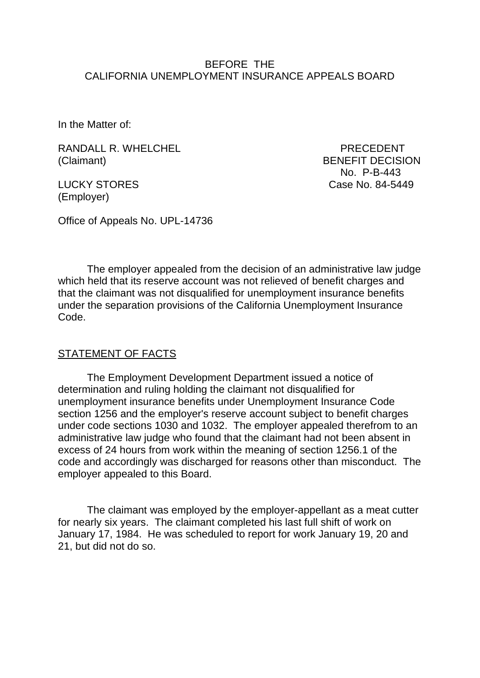### BEFORE THE CALIFORNIA UNEMPLOYMENT INSURANCE APPEALS BOARD

In the Matter of:

RANDALL R. WHELCHEL **PRECEDENT** (Claimant) BENEFIT DECISION

(Employer)

 No. P-B-443 LUCKY STORES Case No. 84-5449

Office of Appeals No. UPL-14736

The employer appealed from the decision of an administrative law judge which held that its reserve account was not relieved of benefit charges and that the claimant was not disqualified for unemployment insurance benefits under the separation provisions of the California Unemployment Insurance Code.

#### STATEMENT OF FACTS

The Employment Development Department issued a notice of determination and ruling holding the claimant not disqualified for unemployment insurance benefits under Unemployment Insurance Code section 1256 and the employer's reserve account subject to benefit charges under code sections 1030 and 1032. The employer appealed therefrom to an administrative law judge who found that the claimant had not been absent in excess of 24 hours from work within the meaning of section 1256.1 of the code and accordingly was discharged for reasons other than misconduct. The employer appealed to this Board.

The claimant was employed by the employer-appellant as a meat cutter for nearly six years. The claimant completed his last full shift of work on January 17, 1984. He was scheduled to report for work January 19, 20 and 21, but did not do so.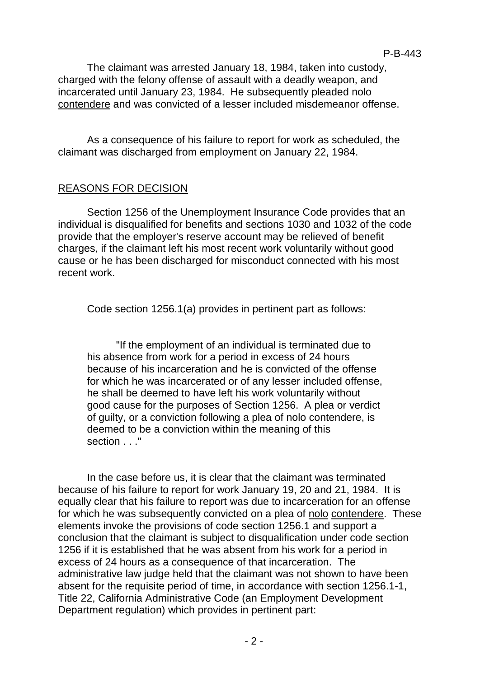The claimant was arrested January 18, 1984, taken into custody, charged with the felony offense of assault with a deadly weapon, and incarcerated until January 23, 1984. He subsequently pleaded nolo contendere and was convicted of a lesser included misdemeanor offense.

As a consequence of his failure to report for work as scheduled, the claimant was discharged from employment on January 22, 1984.

#### REASONS FOR DECISION

Section 1256 of the Unemployment Insurance Code provides that an individual is disqualified for benefits and sections 1030 and 1032 of the code provide that the employer's reserve account may be relieved of benefit charges, if the claimant left his most recent work voluntarily without good cause or he has been discharged for misconduct connected with his most recent work.

Code section 1256.1(a) provides in pertinent part as follows:

"If the employment of an individual is terminated due to his absence from work for a period in excess of 24 hours because of his incarceration and he is convicted of the offense for which he was incarcerated or of any lesser included offense, he shall be deemed to have left his work voluntarily without good cause for the purposes of Section 1256. A plea or verdict of guilty, or a conviction following a plea of nolo contendere, is deemed to be a conviction within the meaning of this section . . . "

In the case before us, it is clear that the claimant was terminated because of his failure to report for work January 19, 20 and 21, 1984. It is equally clear that his failure to report was due to incarceration for an offense for which he was subsequently convicted on a plea of nolo contendere. These elements invoke the provisions of code section 1256.1 and support a conclusion that the claimant is subject to disqualification under code section 1256 if it is established that he was absent from his work for a period in excess of 24 hours as a consequence of that incarceration. The administrative law judge held that the claimant was not shown to have been absent for the requisite period of time, in accordance with section 1256.1-1, Title 22, California Administrative Code (an Employment Development Department regulation) which provides in pertinent part: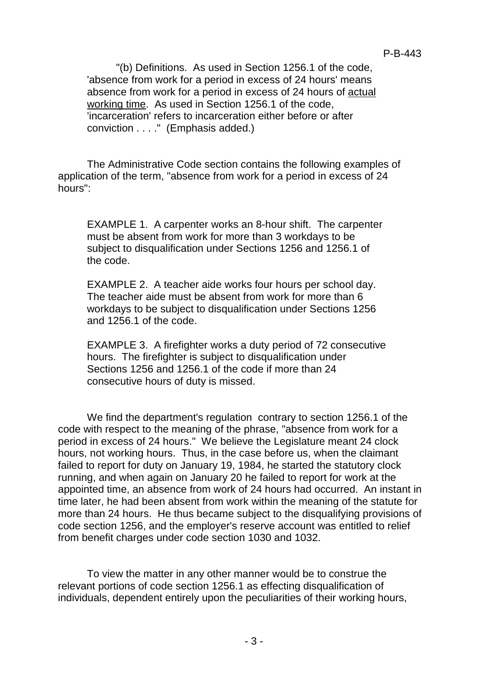"(b) Definitions. As used in Section 1256.1 of the code, 'absence from work for a period in excess of 24 hours' means absence from work for a period in excess of 24 hours of actual working time. As used in Section 1256.1 of the code, 'incarceration' refers to incarceration either before or after conviction . . . ." (Emphasis added.)

The Administrative Code section contains the following examples of application of the term, "absence from work for a period in excess of 24 hours":

EXAMPLE 1. A carpenter works an 8-hour shift. The carpenter must be absent from work for more than 3 workdays to be subject to disqualification under Sections 1256 and 1256.1 of the code.

EXAMPLE 2. A teacher aide works four hours per school day. The teacher aide must be absent from work for more than 6 workdays to be subject to disqualification under Sections 1256 and 1256.1 of the code.

EXAMPLE 3. A firefighter works a duty period of 72 consecutive hours. The firefighter is subject to disqualification under Sections 1256 and 1256.1 of the code if more than 24 consecutive hours of duty is missed.

We find the department's regulation contrary to section 1256.1 of the code with respect to the meaning of the phrase, "absence from work for a period in excess of 24 hours." We believe the Legislature meant 24 clock hours, not working hours. Thus, in the case before us, when the claimant failed to report for duty on January 19, 1984, he started the statutory clock running, and when again on January 20 he failed to report for work at the appointed time, an absence from work of 24 hours had occurred. An instant in time later, he had been absent from work within the meaning of the statute for more than 24 hours. He thus became subject to the disqualifying provisions of code section 1256, and the employer's reserve account was entitled to relief from benefit charges under code section 1030 and 1032.

To view the matter in any other manner would be to construe the relevant portions of code section 1256.1 as effecting disqualification of individuals, dependent entirely upon the peculiarities of their working hours,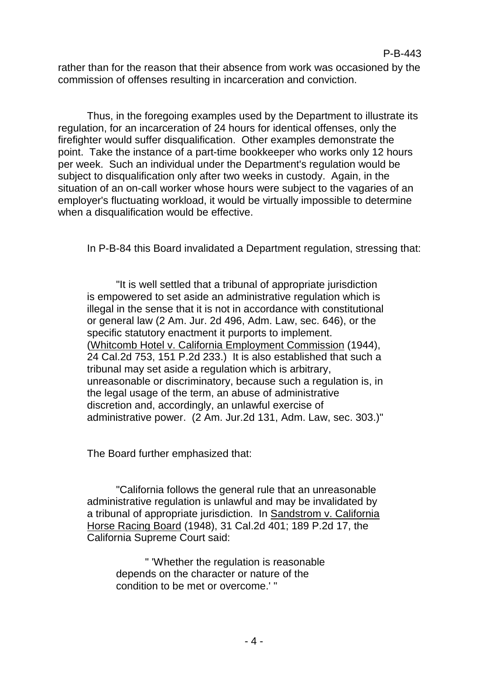rather than for the reason that their absence from work was occasioned by the commission of offenses resulting in incarceration and conviction.

Thus, in the foregoing examples used by the Department to illustrate its regulation, for an incarceration of 24 hours for identical offenses, only the firefighter would suffer disqualification. Other examples demonstrate the point. Take the instance of a part-time bookkeeper who works only 12 hours per week. Such an individual under the Department's regulation would be subject to disqualification only after two weeks in custody. Again, in the situation of an on-call worker whose hours were subject to the vagaries of an employer's fluctuating workload, it would be virtually impossible to determine when a disqualification would be effective.

In P-B-84 this Board invalidated a Department regulation, stressing that:

"It is well settled that a tribunal of appropriate jurisdiction is empowered to set aside an administrative regulation which is illegal in the sense that it is not in accordance with constitutional or general law (2 Am. Jur. 2d 496, Adm. Law, sec. 646), or the specific statutory enactment it purports to implement. (Whitcomb Hotel v. California Employment Commission (1944), 24 Cal.2d 753, 151 P.2d 233.) It is also established that such a tribunal may set aside a regulation which is arbitrary, unreasonable or discriminatory, because such a regulation is, in the legal usage of the term, an abuse of administrative discretion and, accordingly, an unlawful exercise of administrative power. (2 Am. Jur.2d 131, Adm. Law, sec. 303.)"

The Board further emphasized that:

"California follows the general rule that an unreasonable administrative regulation is unlawful and may be invalidated by a tribunal of appropriate jurisdiction. In Sandstrom v. California Horse Racing Board (1948), 31 Cal.2d 401; 189 P.2d 17, the California Supreme Court said:

" 'Whether the regulation is reasonable depends on the character or nature of the condition to be met or overcome.' "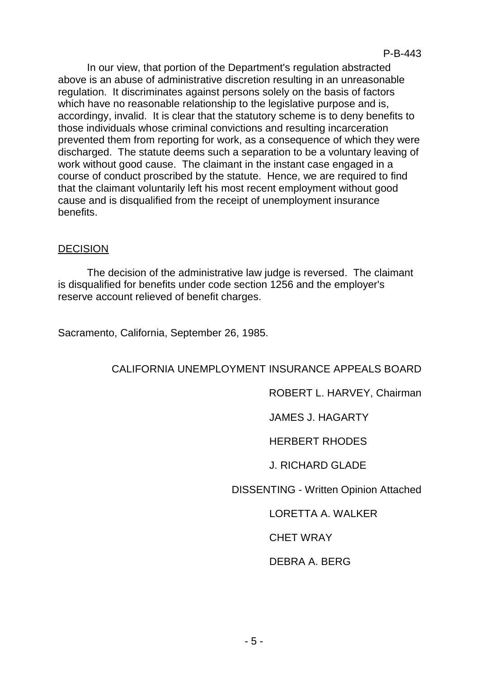In our view, that portion of the Department's regulation abstracted above is an abuse of administrative discretion resulting in an unreasonable regulation. It discriminates against persons solely on the basis of factors which have no reasonable relationship to the legislative purpose and is, accordingy, invalid. It is clear that the statutory scheme is to deny benefits to those individuals whose criminal convictions and resulting incarceration prevented them from reporting for work, as a consequence of which they were discharged. The statute deems such a separation to be a voluntary leaving of work without good cause. The claimant in the instant case engaged in a course of conduct proscribed by the statute. Hence, we are required to find that the claimant voluntarily left his most recent employment without good cause and is disqualified from the receipt of unemployment insurance benefits.

#### DECISION

The decision of the administrative law judge is reversed. The claimant is disqualified for benefits under code section 1256 and the employer's reserve account relieved of benefit charges.

Sacramento, California, September 26, 1985.

## CALIFORNIA UNEMPLOYMENT INSURANCE APPEALS BOARD

## ROBERT L. HARVEY, Chairman

JAMES J. HAGARTY

HERBERT RHODES

J. RICHARD GLADE

DISSENTING - Written Opinion Attached

# LORETTA A. WALKER

CHET WRAY

## DEBRA A. BERG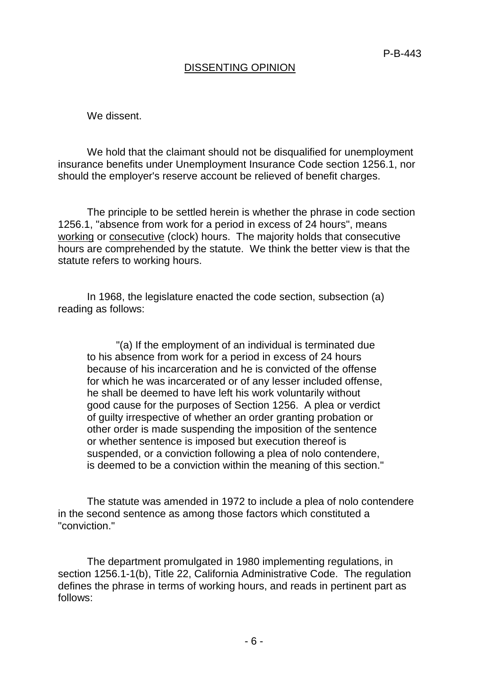## DISSENTING OPINION

We dissent.

We hold that the claimant should not be disqualified for unemployment insurance benefits under Unemployment Insurance Code section 1256.1, nor should the employer's reserve account be relieved of benefit charges.

The principle to be settled herein is whether the phrase in code section 1256.1, "absence from work for a period in excess of 24 hours", means working or consecutive (clock) hours. The majority holds that consecutive hours are comprehended by the statute. We think the better view is that the statute refers to working hours.

In 1968, the legislature enacted the code section, subsection (a) reading as follows:

"(a) If the employment of an individual is terminated due to his absence from work for a period in excess of 24 hours because of his incarceration and he is convicted of the offense for which he was incarcerated or of any lesser included offense, he shall be deemed to have left his work voluntarily without good cause for the purposes of Section 1256. A plea or verdict of guilty irrespective of whether an order granting probation or other order is made suspending the imposition of the sentence or whether sentence is imposed but execution thereof is suspended, or a conviction following a plea of nolo contendere, is deemed to be a conviction within the meaning of this section."

The statute was amended in 1972 to include a plea of nolo contendere in the second sentence as among those factors which constituted a "conviction."

The department promulgated in 1980 implementing regulations, in section 1256.1-1(b), Title 22, California Administrative Code. The regulation defines the phrase in terms of working hours, and reads in pertinent part as follows: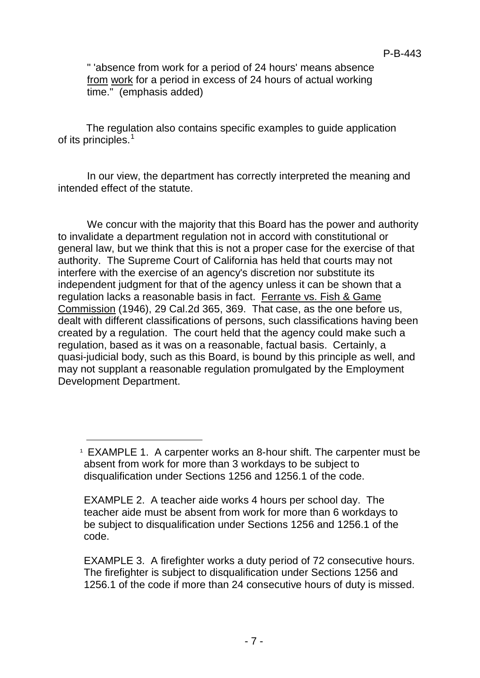" 'absence from work for a period of 24 hours' means absence from work for a period in excess of 24 hours of actual working time." (emphasis added)

The regulation also contains specific examples to guide application of its principles.<sup>[1](#page-6-0)</sup>

In our view, the department has correctly interpreted the meaning and intended effect of the statute.

We concur with the majority that this Board has the power and authority to invalidate a department regulation not in accord with constitutional or general law, but we think that this is not a proper case for the exercise of that authority. The Supreme Court of California has held that courts may not interfere with the exercise of an agency's discretion nor substitute its independent judgment for that of the agency unless it can be shown that a regulation lacks a reasonable basis in fact. Ferrante vs. Fish & Game Commission (1946), 29 Cal.2d 365, 369. That case, as the one before us, dealt with different classifications of persons, such classifications having been created by a regulation. The court held that the agency could make such a regulation, based as it was on a reasonable, factual basis. Certainly, a quasi-judicial body, such as this Board, is bound by this principle as well, and may not supplant a reasonable regulation promulgated by the Employment Development Department.

Ĩ

<span id="page-6-0"></span> $1$  EXAMPLE 1. A carpenter works an 8-hour shift. The carpenter must be absent from work for more than 3 workdays to be subject to disqualification under Sections 1256 and 1256.1 of the code.

EXAMPLE 2. A teacher aide works 4 hours per school day. The teacher aide must be absent from work for more than 6 workdays to be subject to disqualification under Sections 1256 and 1256.1 of the code.

EXAMPLE 3. A firefighter works a duty period of 72 consecutive hours. The firefighter is subject to disqualification under Sections 1256 and 1256.1 of the code if more than 24 consecutive hours of duty is missed.